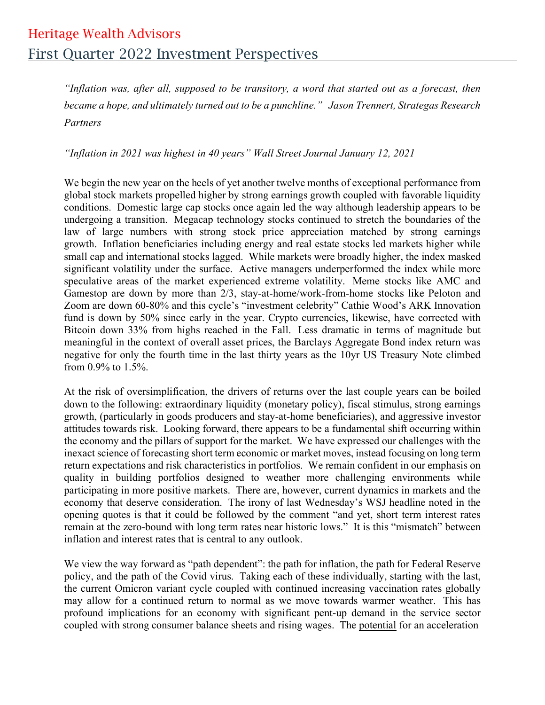## Heritage Wealth Advisors First Quarter 2022 Investment Perspectives

*"Inflation was, after all, supposed to be transitory, a word that started out as a forecast, then became a hope, and ultimately turned out to be a punchline." Jason Trennert, Strategas Research Partners*

*"Inflation in 2021 was highest in 40 years" Wall Street Journal January 12, 2021*

We begin the new year on the heels of yet another twelve months of exceptional performance from global stock markets propelled higher by strong earnings growth coupled with favorable liquidity conditions. Domestic large cap stocks once again led the way although leadership appears to be undergoing a transition. Megacap technology stocks continued to stretch the boundaries of the law of large numbers with strong stock price appreciation matched by strong earnings growth. Inflation beneficiaries including energy and real estate stocks led markets higher while small cap and international stocks lagged. While markets were broadly higher, the index masked significant volatility under the surface. Active managers underperformed the index while more speculative areas of the market experienced extreme volatility. Meme stocks like AMC and Gamestop are down by more than 2/3, stay-at-home/work-from-home stocks like Peloton and Zoom are down 60-80% and this cycle's "investment celebrity" Cathie Wood's ARK Innovation fund is down by 50% since early in the year. Crypto currencies, likewise, have corrected with Bitcoin down 33% from highs reached in the Fall. Less dramatic in terms of magnitude but meaningful in the context of overall asset prices, the Barclays Aggregate Bond index return was negative for only the fourth time in the last thirty years as the 10yr US Treasury Note climbed from 0.9% to 1.5%.

At the risk of oversimplification, the drivers of returns over the last couple years can be boiled down to the following: extraordinary liquidity (monetary policy), fiscal stimulus, strong earnings growth, (particularly in goods producers and stay-at-home beneficiaries), and aggressive investor attitudes towards risk. Looking forward, there appears to be a fundamental shift occurring within the economy and the pillars of support for the market. We have expressed our challenges with the inexact science of forecasting short term economic or market moves, instead focusing on long term return expectations and risk characteristics in portfolios. We remain confident in our emphasis on quality in building portfolios designed to weather more challenging environments while participating in more positive markets. There are, however, current dynamics in markets and the economy that deserve consideration. The irony of last Wednesday's WSJ headline noted in the opening quotes is that it could be followed by the comment "and yet, short term interest rates remain at the zero-bound with long term rates near historic lows." It is this "mismatch" between inflation and interest rates that is central to any outlook.

We view the way forward as "path dependent": the path for inflation, the path for Federal Reserve policy, and the path of the Covid virus. Taking each of these individually, starting with the last, the current Omicron variant cycle coupled with continued increasing vaccination rates globally may allow for a continued return to normal as we move towards warmer weather. This has profound implications for an economy with significant pent-up demand in the service sector coupled with strong consumer balance sheets and rising wages. The potential for an acceleration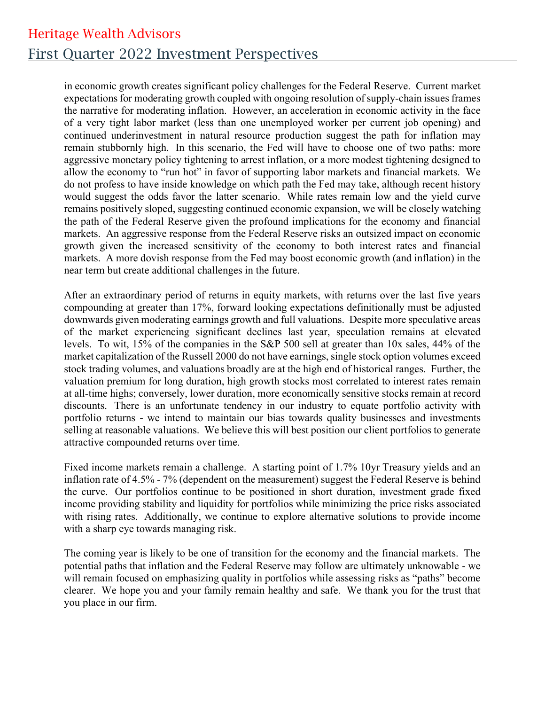## Heritage Wealth Advisors First Quarter 2022 Investment Perspectives

in economic growth creates significant policy challenges for the Federal Reserve. Current market expectations for moderating growth coupled with ongoing resolution of supply-chain issues frames the narrative for moderating inflation. However, an acceleration in economic activity in the face of a very tight labor market (less than one unemployed worker per current job opening) and continued underinvestment in natural resource production suggest the path for inflation may remain stubbornly high. In this scenario, the Fed will have to choose one of two paths: more aggressive monetary policy tightening to arrest inflation, or a more modest tightening designed to allow the economy to "run hot" in favor of supporting labor markets and financial markets. We do not profess to have inside knowledge on which path the Fed may take, although recent history would suggest the odds favor the latter scenario. While rates remain low and the yield curve remains positively sloped, suggesting continued economic expansion, we will be closely watching the path of the Federal Reserve given the profound implications for the economy and financial markets. An aggressive response from the Federal Reserve risks an outsized impact on economic growth given the increased sensitivity of the economy to both interest rates and financial markets. A more dovish response from the Fed may boost economic growth (and inflation) in the near term but create additional challenges in the future.

After an extraordinary period of returns in equity markets, with returns over the last five years compounding at greater than 17%, forward looking expectations definitionally must be adjusted downwards given moderating earnings growth and full valuations. Despite more speculative areas of the market experiencing significant declines last year, speculation remains at elevated levels. To wit, 15% of the companies in the S&P 500 sell at greater than 10x sales, 44% of the market capitalization of the Russell 2000 do not have earnings, single stock option volumes exceed stock trading volumes, and valuations broadly are at the high end of historical ranges. Further, the valuation premium for long duration, high growth stocks most correlated to interest rates remain at all-time highs; conversely, lower duration, more economically sensitive stocks remain at record discounts. There is an unfortunate tendency in our industry to equate portfolio activity with portfolio returns - we intend to maintain our bias towards quality businesses and investments selling at reasonable valuations. We believe this will best position our client portfolios to generate attractive compounded returns over time.

Fixed income markets remain a challenge. A starting point of 1.7% 10yr Treasury yields and an inflation rate of 4.5% - 7% (dependent on the measurement) suggest the Federal Reserve is behind the curve. Our portfolios continue to be positioned in short duration, investment grade fixed income providing stability and liquidity for portfolios while minimizing the price risks associated with rising rates. Additionally, we continue to explore alternative solutions to provide income with a sharp eye towards managing risk.

The coming year is likely to be one of transition for the economy and the financial markets. The potential paths that inflation and the Federal Reserve may follow are ultimately unknowable - we will remain focused on emphasizing quality in portfolios while assessing risks as "paths" become clearer. We hope you and your family remain healthy and safe. We thank you for the trust that you place in our firm.